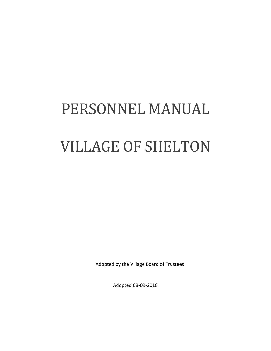# PERSONNEL MANUAL VILLAGE OF SHELTON

Adopted by the Village Board of Trustees

Adopted 08-09-2018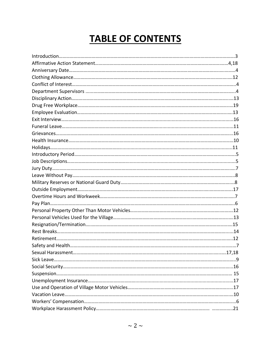## **TABLE OF CONTENTS**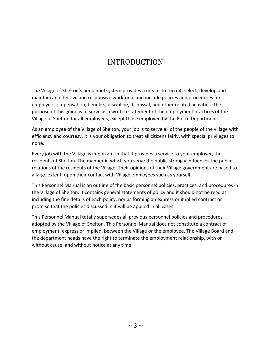## INTRODUCTION

The Village of Shelton's personnel system provides a means to recruit, select, develop and maintain an effective and responsive workforce and include policies and procedures for employee compensation, benefits, discipline, dismissal, and other related activities. The purpose of this guide is to serve as a written statement of the employment practices of the Village of Shelton for all employees, except those employed by the Police Department.

As an employee of the Village of Shelton, your job is to serve all of the people of the village with efficiency and courtesy. It is your obligation to treat all citizens fairly, with special privileges to none.

Every job with the Village is important in that it provides a service to your employer, the residents of Shelton. The manner in which you serve the public strongly influences the public relations of the residents of the Village. Their opinions of their Village government are based to a large extent, upon their contact with Village employees such as yourself.

This Personnel Manual is an outline of the basic personnel policies, practices, and procedures in the Village of Shelton. It contains general statements of policy and it should not be read as including the fine details of each policy, nor as forming an express or implied contract or promise that the policies discussed in it will be applied in all cases.

This Personnel Manual totally supersedes all previous personnel policies and procedures adopted by the Village of Shelton. This Personnel Manual does not constitute a contract of employment, express or implied, between the Village or the employee. The Village Board and the department heads have the right to terminate the employment relationship, with or without cause, and without notice at any time.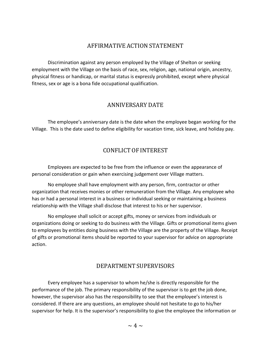#### AFFIRMATIVE ACTION STATEMENT

Discrimination against any person employed by the Village of Shelton or seeking employment with the Village on the basis of race, sex, religion, age, national origin, ancestry, physical fitness or handicap, or marital status is expressly prohibited, except where physical fitness, sex or age is a bona fide occupational qualification.

#### ANNIVERSARY DATE

The employee's anniversary date is the date when the employee began working for the Village. This is the date used to define eligibility for vacation time, sick leave, and holiday pay.

#### CONFLICT OF INTEREST

Employees are expected to be free from the influence or even the appearance of personal consideration or gain when exercising judgement over Village matters.

No employee shall have employment with any person, firm, contractor or other organization that receives monies or other remuneration from the Village. Any employee who has or had a personal interest in a business or individual seeking or maintaining a business relationship with the Village shall disclose that interest to his or her supervisor.

No employee shall solicit or accept gifts, money or services from individuals or organizations doing or seeking to do business with the Village. Gifts or promotional items given to employees by entities doing business with the Village are the property of the Village. Receipt of gifts or promotional items should be reported to your supervisor for advice on appropriate action.

#### DEPARTMENT SUPERVISORS

Every employee has a supervisor to whom he/she is directly responsible for the performance of the job. The primary responsibility of the supervisor is to get the job done, however, the supervisor also has the responsibility to see that the employee's interest is considered. If there are any questions, an employee should not hesitate to go to his/her supervisor for help. It is the supervisor's responsibility to give the employee the information or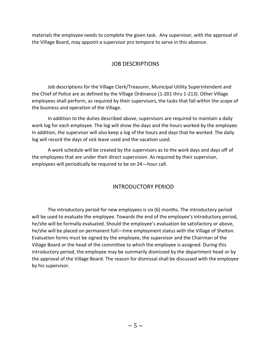materials the employee needs to complete the given task. Any supervisor, with the approval of the Village Board, may appoint a supervisor pro tempore to serve in this absence.

#### JOB DESCRIPTIONS

Job descriptions for the Village Clerk/Treasurer, Municipal Utility Superintendent and the Chief of Police are as defined by the Village Ordinance (1-201 thru 1-213). Other Village employees shall perform, as required by their supervisors, the tasks that fall within the scope of the business and operation of the Village.

In addition to the duties described above, supervisors are required to maintain a daily work log for each employee. The log will show the days and the hours worked by the employee. In addition, the supervisor will also keep a log of the hours and days that he worked. The daily log will record the days of sick leave used and the vacation used.

A work schedule will be created by the supervisors as to the work days and days off of the employees that are under their direct supervision. As required by their supervisor, employees will periodically be required to be on 24—hour call.

#### INTRODUCTORY PERIOD

The introductory period for new employees is six (6) months. The introductory period will be used to evaluate the employee. Towards the end of the employee's introductory period, he/she will be formally evaluated. Should the employee's evaluation be satisfactory or above, he/she will be placed on permanent full—time employment status with the Village of Shelton. Evaluation forms must be signed by the employee, the supervisor and the Chairman of the Village Board or the head of the committee to which the employee is assigned. During this introductory period, the employee may be summarily dismissed by the department head or by the approval of the Village Board. The reason for dismissal shall be discussed with the employee by his supervisor.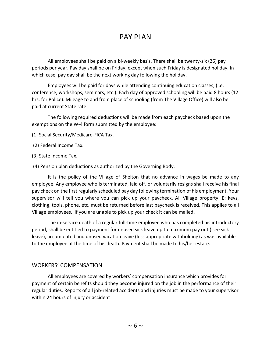### PAY PLAN

All employees shall be paid on a bi-weekly basis. There shall be twenty-six (26) pay periods per year. Pay day shall be on Friday, except when such Friday is designated holiday. In which case, pay day shall be the next working day following the holiday.

Employees will be paid for days while attending continuing education classes, (i.e. conference, workshops, seminars, etc.). Each day of approved schooling will be paid 8 hours (12 hrs. for Police). Mileage to and from place of schooling (from The Village Office) will also be paid at current State rate.

The following required deductions will be made from each paycheck based upon the exemptions on the W-4 form submitted by the employee:

- (1) Social Security/Medicare-FICA Tax.
- (2) Federal Income Tax.
- (3) State Income Tax.
- (4) Pension plan deductions as authorized by the Governing Body.

It is the policy of the Village of Shelton that no advance in wages be made to any employee. Any employee who is terminated, laid off, or voluntarily resigns shall receive his final pay check on the first regularly scheduled pay day following termination of his employment. Your supervisor will tell you where you can pick up your paycheck. All Village property IE: keys, clothing, tools, phone, etc. must be returned before last paycheck is received. This applies to all Village employees. If you are unable to pick up your check it can be mailed.

The in-service death of a regular full-time employee who has completed his introductory period, shall be entitled to payment for unused sick leave up to maximum pay out ( see sick leave), accumulated and unused vacation leave (less appropriate withholding) as was available to the employee at the time of his death. Payment shall be made to his/her estate.

#### WORKERS' COMPENSATION

All employees are covered by workers' compensation insurance which provides for payment of certain benefits should they become injured on the job in the performance of their regular duties. Reports of all job-related accidents and injuries must be made to your supervisor within 24 hours of injury or accident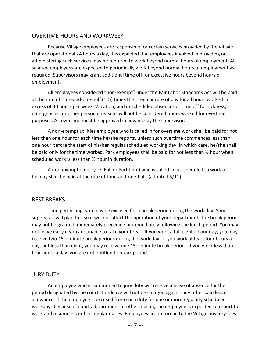#### OVERTIME HOURS AND WORKWEEK

Because Village employees are responsible for certain services provided by the Village that are operational 24 hours a day, it is expected that employees involved in providing or administering such services may he required to work beyond normal hours of employment. All salaried employees are expected to periodically work beyond normal hours of employment as required. Supervisors may grant additional time off for excessive hours beyond hours of employment.

All employees considered "non-exempt" under the Fair Labor Standards Act will be paid at the rate of time-and-one-half (1 ½) times their regular rate of pay for all hours worked in excess of 40 hours per week. Vacation, and unscheduled absences or time off for sickness, emergencies, or other personal reasons will not be considered hours worked for overtime purposes. All overtime must be approved in advance by the supervisor.

A non-exempt utilities employee who is called in for overtime work shall be paid for not less than one hour for each time he/she reports, unless such overtime commences less than one hour before the start of his/her regular scheduled working day. In which case, he/she shall be paid only for the time worked. Park employees shall be paid for not less than  $\frac{1}{2}$  hour when scheduled work is less than ½ hour in duration.

A non-exempt employee (Full or Part time) who is called in or scheduled to work a holiday shall be paid at the rate of time-and-one-half. (adopted 5/11)

#### REST BREAKS

Time permitting, you may be excused for a break period during the work day. Your supervisor will plan this so it will not affect the operation of your department. The break period may not be granted immediately preceding or immediately following the lunch period. You may not leave early if you are unable to take your break. If you work a full eight—hour day, you may receive two 15—minute break periods during the work day. If you work at least four hours a day, but less than eight, you may receive one 15—minute break period. If you work less than four hours a day, you are not entitled to break period.

#### JURY DUTY

An employee who is summoned to jury duty will receive a leave of absence for the period designated by the court. This leave will not be charged against any other paid leave allowance. If the employee is excused from such duty for one or more regularly scheduled workdays because of court adjournment or other reason, the employee is expected to report to work and resume his or her regular duties. Employees are to turn in to the Village any jury fees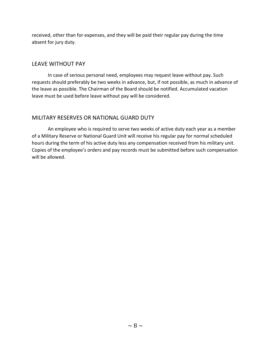received, other than for expenses, and they will be paid their regular pay during the time absent for jury duty.

#### LEAVE WITHOUT PAY

In case of serious personal need, employees may request leave without pay. Such requests should preferably be two weeks in advance, but, if not possible, as much in advance of the leave as possible. The Chairman of the Board should be notified. Accumulated vacation leave must be used before leave without pay will be considered.

#### MILITARY RESERVES OR NATIONAL GUARD DUTY

An employee who is required to serve two weeks of active duty each year as a member of a Military Reserve or National Guard Unit will receive his regular pay for normal scheduled hours during the term of his active duty less any compensation received from his military unit. Copies of the employee's orders and pay records must be submitted before such compensation will be allowed.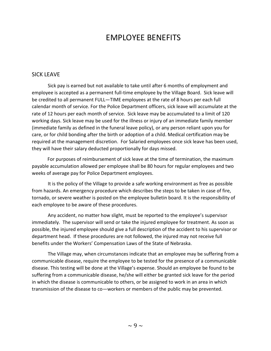## EMPLOYEE BENEFITS

#### SICK LEAVE

Sick pay is earned but not available to take until after 6 months of employment and employee is accepted as a permanent full-time employee by the Village Board. Sick leave will be credited to all permanent FULL—TIME employees at the rate of 8 hours per each full calendar month of service. For the Police Department officers, sick leave will accumulate at the rate of 12 hours per each month of service. Sick leave may be accumulated to a limit of 120 working days. Sick leave may be used for the illness or injury of an immediate family member (immediate family as defined in the funeral leave policy), or any person reliant upon you for care, or for child bonding after the birth or adoption of a child. Medical certification may be required at the management discretion. For Salaried employees once sick leave has been used, they will have their salary deducted proportionally for days missed.

 For purposes of reimbursement of sick leave at the time of termination, the maximum payable accumulation allowed per employee shall be 80 hours for regular employees and two weeks of average pay for Police Department employees.

It is the policy of the Village to provide a safe working environment as free as possible from hazards. An emergency procedure which describes the steps to be taken in case of fire, tornado, or severe weather is posted on the employee bulletin board. It is the responsibility of each employee to be aware of these procedures.

Any accident, no matter how slight, must be reported to the employee's supervisor immediately. The supervisor will send or take the injured employee for treatment. As soon as possible, the injured employee should give a full description of the accident to his supervisor or department head. If these procedures are not followed, the injured may not receive full benefits under the Workers' Compensation Laws of the State of Nebraska.

The Village may, when circumstances indicate that an employee may be suffering from a communicable disease, require the employee to be tested for the presence of a communicable disease. This testing will be done at the Village's expense. Should an employee be found to be suffering from a communicable disease, he/she will either be granted sick leave for the period in which the disease is communicable to others, or be assigned to work in an area in which transmission of the disease to co—workers or members of the public may be prevented.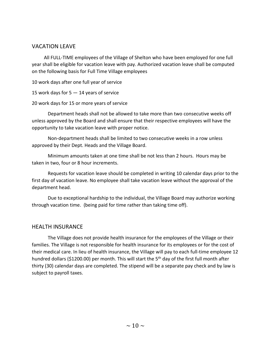#### VACATION LEAVE

 All FULL-TIME employees of the Village of Shelton who have been employed for one full year shall be eligible for vacation leave with pay. Authorized vacation leave shall be computed on the following basis for Full Time Village employees

10 work days after one full year of service

15 work days for 5 — 14 years of service

20 work days for 15 or more years of service

Department heads shall not be allowed to take more than two consecutive weeks off unless approved by the Board and shall ensure that their respective employees will have the opportunity to take vacation leave with proper notice.

Non-department heads shall be limited to two consecutive weeks in a row unless approved by their Dept. Heads and the Village Board.

Minimum amounts taken at one time shall be not less than 2 hours. Hours may be taken in two, four or 8 hour increments.

Requests for vacation leave should be completed in writing 10 calendar days prior to the first day of vacation leave. No employee shall take vacation leave without the approval of the department head.

Due to exceptional hardship to the individual, the Village Board may authorize working through vacation time. (being paid for time rather than taking time off).

#### HEALTH INSURANCE

The Village does not provide health insurance for the employees of the Village or their families. The Village is not responsible for health insurance for its employees or for the cost of their medical care. In lieu of health insurance, the Village will pay to each full-time employee 12 hundred dollars (\$1200.00) per month. This will start the  $5<sup>th</sup>$  day of the first full month after thirty (30) calendar days are completed. The stipend will be a separate pay check and by law is subject to payroll taxes.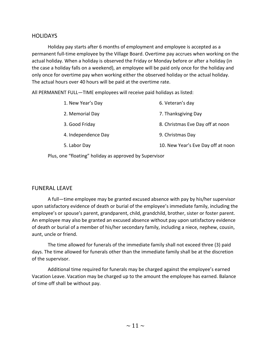#### **HOLIDAYS**

Holiday pay starts after 6 months of employment and employee is accepted as a permanent full-time employee by the Village Board. Overtime pay accrues when working on the actual holiday. When a holiday is observed the Friday or Monday before or after a holiday (in the case a holiday falls on a weekend), an employee will be paid only once for the holiday and only once for overtime pay when working either the observed holiday or the actual holiday. The actual hours over 40 hours will be paid at the overtime rate.

All PERMANENT FULL—TIME employees will receive paid holidays as listed:

| 1. New Year's Day   | 6. Veteran's day                   |
|---------------------|------------------------------------|
| 2. Memorial Day     | 7. Thanksgiving Day                |
| 3. Good Friday      | 8. Christmas Eve Day off at noon   |
| 4. Independence Day | 9. Christmas Day                   |
| 5. Labor Day        | 10. New Year's Eve Day off at noon |
|                     |                                    |

Plus, one "floating" holiday as approved by Supervisor

#### FUNERAL LEAVE

A full—time employee may be granted excused absence with pay by his/her supervisor upon satisfactory evidence of death or burial of the employee's immediate family, including the employee's or spouse's parent, grandparent, child, grandchild, brother, sister or foster parent. An employee may also be granted an excused absence without pay upon satisfactory evidence of death or burial of a member of his/her secondary family, including a niece, nephew, cousin, aunt, uncle or friend.

The time allowed for funerals of the immediate family shall not exceed three (3) paid days. The time allowed for funerals other than the immediate family shall be at the discretion of the supervisor.

Additional time required for funerals may be charged against the employee's earned Vacation Leave. Vacation may be charged up to the amount the employee has earned. Balance of time off shall be without pay.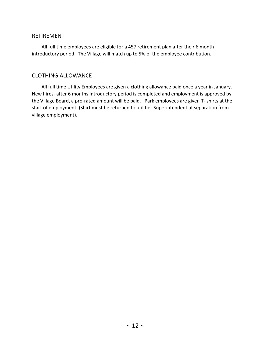#### RETIREMENT

 All full time employees are eligible for a 457 retirement plan after their 6 month introductory period. The Village will match up to 5% of the employee contribution.

#### CLOTHING ALLOWANCE

 All full time Utility Employees are given a clothing allowance paid once a year in January. New hires- after 6 months introductory period is completed and employment is approved by the Village Board, a pro-rated amount will be paid. Park employees are given T- shirts at the start of employment. (Shirt must be returned to utilities Superintendent at separation from village employment).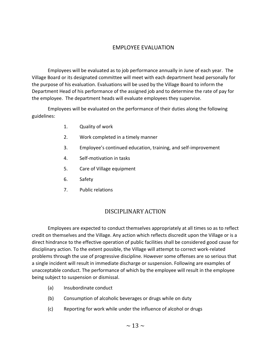#### EMPLOYEE EVALUATION

Employees will be evaluated as to job performance annually in June of each year. The Village Board or its designated committee will meet with each department head personally for the purpose of his evaluation. Evaluations will be used by the Village Board to inform the Department Head of his performance of the assigned job and to determine the rate of pay for the employee. The department heads will evaluate employees they supervise.

Employees will be evaluated on the performance of their duties along the following guidelines:

- 1. Quality of work
- 2. Work completed in a timely manner
- 3. Employee's continued education, training, and self-improvement
- 4. Self-motivation in tasks
- 5. Care of Village equipment
- 6. Safety
- 7. Public relations

#### DISCIPLINARY ACTION

Employees are expected to conduct themselves appropriately at all times so as to reflect credit on themselves and the Village. Any action which reflects discredit upon the Village or is a direct hindrance to the effective operation of public facilities shall be considered good cause for disciplinary action. To the extent possible, the Village will attempt to correct work-related problems through the use of progressive discipline. However some offenses are so serious that a single incident will result in immediate discharge or suspension. Following are examples of unacceptable conduct. The performance of which by the employee will result in the employee being subject to suspension or dismissal.

- (a) Insubordinate conduct
- (b) Consumption of alcoholic beverages or drugs while on duty
- (c) Reporting for work while under the influence of alcohol or drugs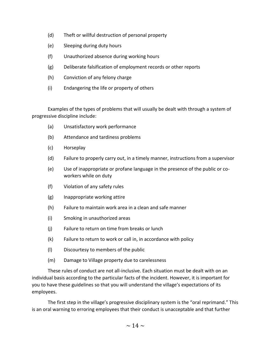- (d) Theft or willful destruction of personal property
- (e) Sleeping during duty hours
- (f) Unauthorized absence during working hours
- (g) Deliberate falsification of employment records or other reports
- (h) Conviction of any felony charge
- (i) Endangering the life or property of others

Examples of the types of problems that will usually be dealt with through a system of progressive discipline include:

- (a) Unsatisfactory work performance
- (b) Attendance and tardiness problems
- (c) Horseplay
- (d) Failure to properly carry out, in a timely manner, instructions from a supervisor
- (e) Use of inappropriate or profane language in the presence of the public or coworkers while on duty
- (f) Violation of any safety rules
- (g) Inappropriate working attire
- (h) Failure to maintain work area in a clean and safe manner
- (i) Smoking in unauthorized areas
- (j) Failure to return on time from breaks or lunch
- (k) Failure to return to work or call in, in accordance with policy
- (l) Discourtesy to members of the public
- (m) Damage to Village property due to carelessness

These rules of conduct are not all-inclusive. Each situation must be dealt with on an individual basis according to the particular facts of the incident. However, it is important for you to have these guidelines so that you will understand the village's expectations of its employees.

The first step in the village's progressive disciplinary system is the "oral reprimand." This is an oral warning to erroring employees that their conduct is unacceptable and that further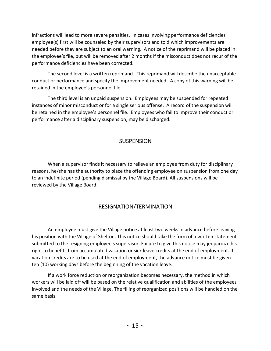infractions will lead to more severe penalties. In cases involving performance deficiencies employee(s) first will be counseled by their supervisors and told which improvements are needed before they are subject to an oral warning. A notice of the reprimand will be placed in the employee's file, but will be removed after 2 months if the misconduct does not recur of the performance deficiencies have been corrected.

The second level is a written reprimand. This reprimand will describe the unacceptable conduct or performance and specify the improvement needed. A copy of this warning will be retained in the employee's personnel file.

The third level is an unpaid suspension. Employees may be suspended for repeated instances of minor misconduct or for a single serious offense. A record of the suspension will be retained in the employee's personnel file. Employees who fail to improve their conduct or performance after a disciplinary suspension, may be discharged.

#### **SUSPENSION**

When a supervisor finds it necessary to relieve an employee from duty for disciplinary reasons, he/she has the authority to place the offending employee on suspension from one day to an indefinite period (pending dismissal by the Village Board). All suspensions will be reviewed by the Village Board.

#### RESIGNATION/TERMINATION

An employee must give the Village notice at least two weeks in advance before leaving his position with the Village of Shelton. This notice should take the form of a written statement submitted to the resigning employee's supervisor. Failure to give this notice may jeopardize his right to benefits from accumulated vacation or sick leave credits at the end of employment. If vacation credits are to be used at the end of employment, the advance notice must be given ten (10) working days before the beginning of the vacation leave.

If a work force reduction or reorganization becomes necessary, the method in which workers will be laid off will be based on the relative qualification and abilities of the employees involved and the needs of the Village. The filling of reorganized positions will be handled on the same basis.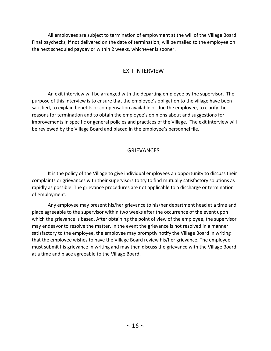All employees are subject to termination of employment at the will of the Village Board. Final paychecks, if not delivered on the date of termination, will be mailed to the employee on the next scheduled payday or within 2 weeks, whichever is sooner.

#### EXIT INTERVIEW

An exit interview will be arranged with the departing employee by the supervisor. The purpose of this interview is to ensure that the employee's obligation to the village have been satisfied, to explain benefits or compensation available or due the employee, to clarify the reasons for termination and to obtain the employee's opinions about and suggestions for improvements in specific or general policies and practices of the Village. The exit interview will be reviewed by the Village Board and placed in the employee's personnel file.

#### GRIEVANCES

It is the policy of the Village to give individual employees an opportunity to discuss their complaints or grievances with their supervisors to try to find mutually satisfactory solutions as rapidly as possible. The grievance procedures are not applicable to a discharge or termination of employment.

Any employee may present his/her grievance to his/her department head at a time and place agreeable to the supervisor within two weeks after the occurrence of the event upon which the grievance is based. After obtaining the point of view of the employee, the supervisor may endeavor to resolve the matter. In the event the grievance is not resolved in a manner satisfactory to the employee, the employee may promptly notify the Village Board in writing that the employee wishes to have the Village Board review his/her grievance. The employee must submit his grievance in writing and may then discuss the grievance with the Village Board at a time and place agreeable to the Village Board.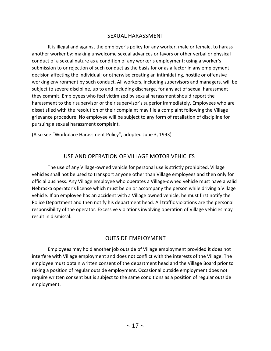#### SEXUAL HARASSMENT

It is illegal and against the employer's policy for any worker, male or female, to harass another worker by: making unwelcome sexual advances or favors or other verbal or physical conduct of a sexual nature as a condition of any worker's employment; using a worker's submission to or rejection of such conduct as the basis for or as a factor in any employment decision affecting the individual; or otherwise creating an intimidating, hostile or offensive working environment by such conduct. All workers, including supervisors and managers, will be subject to severe discipline, up to and including discharge, for any act of sexual harassment they commit. Employees who feel victimized by sexual harassment should report the harassment to their supervisor or their supervisor's superior immediately. Employees who are dissatisfied with the resolution of their complaint may file a complaint following the Village grievance procedure. No employee will be subject to any form of retaliation of discipline for pursuing a sexual harassment complaint.

(Also see "Workplace Harassment Policy", adopted June 3, 1993)

#### USE AND OPERATION OF VILLAGE MOTOR VEHICLES

The use of any Village-owned vehicle for personal use is strictly prohibited. Village vehicles shall not be used to transport anyone other than Village employees and then only for official business. Any Village employee who operates a Village-owned vehicle must have a valid Nebraska operator's license which must be on or accompany the person while driving a Village vehicle. If an employee has an accident with a Village owned vehicle, he must first notify the Police Department and then notify his department head. All traffic violations are the personal responsibility of the operator. Excessive violations involving operation of Village vehicles may result in dismissal.

#### OUTSIDE EMPLOYMENT

Employees may hold another job outside of Village employment provided it does not interfere with Village employment and does not conflict with the interests of the Village. The employee must obtain written consent of the department head and the Village Board prior to taking a position of regular outside employment. Occasional outside employment does not require written consent but is subject to the same conditions as a position of regular outside employment.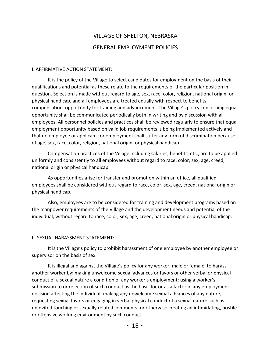## VILLAGE OF SHELTON, NEBRASKA GENERAL EMPLOYMENT POLICIES

#### I. AFFIRMATIVE ACTION STATEMENT:

It is the policy of the Village to select candidates for employment on the basis of their qualifications and potential as these relate to the requirements of the particular position in question. Selection is made without regard to age, sex, race, color, religion, national origin, or physical handicap, and all employees are treated equally with respect to benefits, compensation, opportunity for training and advancement. The Village's policy concerning equal opportunity shall be communicated periodically both in writing and by discussion with all employees. All personnel policies and practices shall be reviewed regularly to ensure that equal employment opportunity based on valid job requirements is being implemented actively and that no employee or applicant for employment shall suffer any form of discrimination because of age, sex, race, color, religion, national origin, or physical handicap.

Compensation practices of the Village including salaries, benefits, etc., are to be applied uniformly and consistently to all employees without regard to race, color, sex, age, creed, national origin or physical handicap.

As opportunities arise for transfer and promotion within an office, all qualified employees shall be considered without regard to race, color, sex, age, creed, national origin or physical handicap.

Also, employees are to be considered for training and development programs based on the manpower requirements of the Village and the development needs and potential of the individual, without regard to race, color, sex, age, creed, national origin or physical handicap.

#### II. SEXUAL HARASSMENT STATEMENT:

It is the Village's policy to prohibit harassment of one employee by another employee or supervisor on the basis of sex.

It is illegal and against the Village's policy for any worker, male or female, to harass another worker by: making unwelcome sexual advances or favors or other verbal or physical conduct of a sexual nature a condition of any worker's employment; using a worker's submission to or rejection of such conduct as the basis for or as a factor in any employment decision affecting the individual; making any unwelcome sexual advances of any nature; requesting sexual favors or engaging in verbal physical conduct of a sexual nature such as uninvited touching or sexually related comments; or otherwise creating an intimidating, hostile or offensive working environment by such conduct.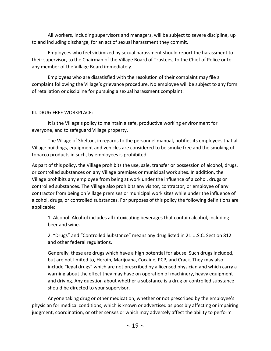All workers, including supervisors and managers, will be subject to severe discipline, up to and including discharge, for an act of sexual harassment they commit.

Employees who feel victimized by sexual harassment should report the harassment to their supervisor, to the Chairman of the Village Board of Trustees, to the Chief of Police or to any member of the Village Board immediately.

Employees who are dissatisfied with the resolution of their complaint may file a complaint following the Village's grievance procedure. No employee will be subject to any form of retaliation or discipline for pursuing a sexual harassment complaint.

#### III. DRUG FREE WORKPLACE:

It is the Village's policy to maintain a safe, productive working environment for everyone, and to safeguard Village property.

The Village of Shelton, in regards to the personnel manual, notifies its employees that all Village buildings, equipment and vehicles are considered to be smoke free and the smoking of tobacco products in such, by employees is prohibited.

As part of this policy, the Village prohibits the use, sale, transfer or possession of alcohol, drugs, or controlled substances on any Village premises or municipal work sites. In addition, the Village prohibits any employee from being at work under the influence of alcohol, drugs or controlled substances. The Village also prohibits any visitor, contractor, or employee of any contractor from being on Village premises or municipal work sites while under the influence of alcohol, drugs, or controlled substances. For purposes of this policy the following definitions are applicable:

1. Alcohol. Alcohol includes all intoxicating beverages that contain alcohol, including beer and wine.

2. "Drugs" and "Controlled Substance" means any drug listed in 21 U.S.C. Section 812 and other federal regulations.

Generally, these are drugs which have a high potential for abuse. Such drugs included, but are not limited to, Heroin, Marijuana, Cocaine, PCP, and Crack. They may also include "legal drugs" which are not prescribed by a licensed physician and which carry a warning about the effect they may have on operation of machinery, heavy equipment and driving. Any question about whether a substance is a drug or controlled substance should be directed to your supervisor.

Anyone taking drug or other medication, whether or not prescribed by the employee's physician for medical conditions, which is known or advertised as possibly affecting or impairing judgment, coordination, or other senses or which may adversely affect the ability to perform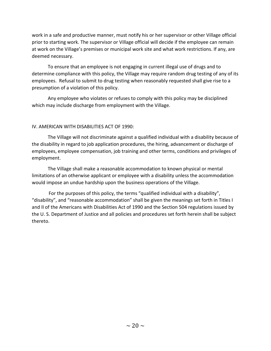work in a safe and productive manner, must notify his or her supervisor or other Village official prior to starting work. The supervisor or Village official will decide if the employee can remain at work on the Village's premises or municipal work site and what work restrictions. If any, are deemed necessary.

To ensure that an employee is not engaging in current illegal use of drugs and to determine compliance with this policy, the Village may require random drug testing of any of its employees. Refusal to submit to drug testing when reasonably requested shall give rise to a presumption of a violation of this policy.

Any employee who violates or refuses to comply with this policy may be disciplined which may include discharge from employment with the Village.

#### IV. AMERICAN WITH DISABILITIES ACT OF 1990:

The Village will not discriminate against a qualified individual with a disability because of the disability in regard to job application procedures, the hiring, advancement or discharge of employees, employee compensation, job training and other terms, conditions and privileges of employment.

The Village shall make a reasonable accommodation to known physical or mental limitations of an otherwise applicant or employee with a disability unless the accommodation would impose an undue hardship upon the business operations of the Village.

 For the purposes of this policy, the terms "qualified individual with a disability", "disability", and "reasonable accommodation" shall be given the meanings set forth in Titles I and II of the Americans with Disabilities Act of 1990 and the Section 504 regulations issued by the U. S. Department of Justice and all policies and procedures set forth herein shall be subject thereto.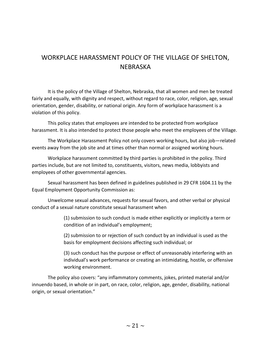## WORKPLACE HARASSMENT POLICY OF THE VILLAGE OF SHELTON, NEBRASKA

It is the policy of the Village of Shelton, Nebraska, that all women and men be treated fairly and equally, with dignity and respect, without regard to race, color, religion, age, sexual orientation, gender, disability, or national origin. Any form of workplace harassment is a violation of this policy.

This policy states that employees are intended to be protected from workplace harassment. It is also intended to protect those people who meet the employees of the Village.

The Workplace Harassment Policy not only covers working hours, but also job—related events away from the job site and at times other than normal or assigned working hours.

Workplace harassment committed by third parties is prohibited in the policy. Third parties include, but are not limited to, constituents, visitors, news media, lobbyists and employees of other governmental agencies.

Sexual harassment has been defined in guidelines published in 29 CFR 1604.11 by the Equal Employment Opportunity Commission as:

Unwelcome sexual advances, requests for sexual favors, and other verbal or physical conduct of a sexual nature constitute sexual harassment when

> (1) submission to such conduct is made either explicitly or implicitly a term or condition of an individual's employment;

(2) submission to or rejection of such conduct by an individual is used as the basis for employment decisions affecting such individual; or

(3) such conduct has the purpose or effect of unreasonably interfering with an individual's work performance or creating an intimidating, hostile, or offensive working environment.

The policy also covers: "any inflammatory comments, jokes, printed material and/or innuendo based, in whole or in part, on race, color, religion, age, gender, disability, national origin, or sexual orientation."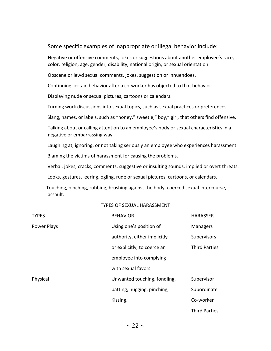#### Some specific examples of inappropriate or illegal behavior include:

Negative or offensive comments, jokes or suggestions about another employee's race, color, religion, age, gender, disability, national origin, or sexual orientation.

Obscene or lewd sexual comments, jokes, suggestion or innuendoes.

Continuing certain behavior after a co-worker has objected to that behavior.

Displaying nude or sexual pictures, cartoons or calendars.

Turning work discussions into sexual topics, such as sexual practices or preferences.

Slang, names, or labels, such as "honey," sweetie," boy," girl, that others find offensive.

Talking about or calling attention to an employee's body or sexual characteristics in a negative or embarrassing way.

Laughing at, ignoring, or not taking seriously an employee who experiences harassment.

Blaming the victims of harassment for causing the problems.

Verbal: jokes, cracks, comments, suggestive or insulting sounds, implied or overt threats.

Looks, gestures, leering, ogling, rude or sexual pictures, cartoons, or calendars.

 Touching, pinching, rubbing, brushing against the body, coerced sexual intercourse, assault.

#### TYPES OF SEXUAL HARASSMENT

| <b>TYPES</b> | <b>BEHAVIOR</b>              | <b>HARASSER</b>      |
|--------------|------------------------------|----------------------|
| Power Plays  | Using one's position of      | <b>Managers</b>      |
|              | authority, either implicitly | Supervisors          |
|              | or explicitly, to coerce an  | <b>Third Parties</b> |
|              | employee into complying      |                      |
|              | with sexual favors.          |                      |
| Physical     | Unwanted touching, fondling, | Supervisor           |
|              | patting, hugging, pinching,  | Subordinate          |
|              | Kissing.                     | Co-worker            |
|              |                              | <b>Third Parties</b> |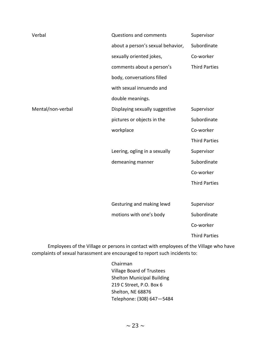| Verbal            | <b>Questions and comments</b>     | Supervisor           |
|-------------------|-----------------------------------|----------------------|
|                   | about a person's sexual behavior, | Subordinate          |
|                   | sexually oriented jokes,          | Co-worker            |
|                   | comments about a person's         | <b>Third Parties</b> |
|                   | body, conversations filled        |                      |
|                   | with sexual innuendo and          |                      |
|                   | double meanings.                  |                      |
| Mental/non-verbal | Displaying sexually suggestive    | Supervisor           |
|                   | pictures or objects in the        | Subordinate          |
|                   | workplace                         | Co-worker            |
|                   |                                   | <b>Third Parties</b> |
|                   | Leering, ogling in a sexually     | Supervisor           |
|                   | demeaning manner                  | Subordinate          |
|                   |                                   | Co-worker            |
|                   |                                   | <b>Third Parties</b> |
|                   |                                   |                      |
|                   | Gesturing and making lewd         | Supervisor           |
|                   | motions with one's body           | Subordinate          |
|                   |                                   | Co-worker            |
|                   |                                   | <b>Third Parties</b> |

Employees of the Village or persons in contact with employees of the Village who have complaints of sexual harassment are encouraged to report such incidents to:

> Chairman Village Board of Trustees Shelton Municipal Building 219 C Street, P.O. Box 6 Shelton, NE 68876 Telephone: (308) 647—5484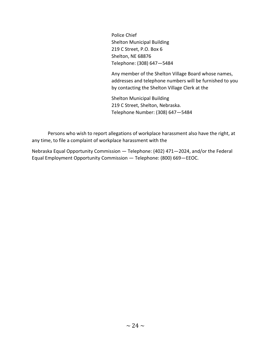Police Chief Shelton Municipal Building 219 C Street, P.O. Box 6 Shelton, NE 68876 Telephone: (308) 647—5484

Any member of the Shelton Village Board whose names, addresses and telephone numbers will be furnished to you by contacting the Shelton Village Clerk at the

Shelton Municipal Building 219 C Street, Shelton, Nebraska. Telephone Number: (308) 647—5484

Persons who wish to report allegations of workplace harassment also have the right, at any time, to file a complaint of workplace harassment with the

Nebraska Equal Opportunity Commission — Telephone: (402) 471—2024, and/or the Federal Equal Employment Opportunity Commission — Telephone: (800) 669—EEOC.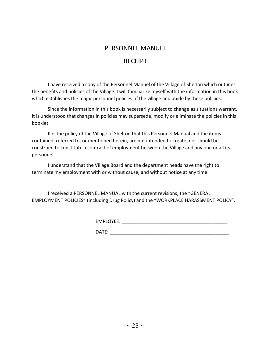#### PERSONNEL MANUEL

#### RECEIPT

I have received a copy of the Personnel Manuel of the Village of Shelton which outlines the benefits and policies of the Village. I will familiarize myself with the information in this book which establishes the major personnel policies of the village and abide by these policies.

Since the information in this book is necessarily subject to change as situations warrant, it is understood that changes in policies may supersede, modify or eliminate the policies in this booklet.

It is the policy of the Village of Shelton that this Personnel Manual and the items contained, referred to, or mentioned herein, are not intended to create, nor should be construed to constitute a contract of employment between the Village and any one or all its personnel.

I understand that the Village Board and the department heads have the right to terminate my employment with or without cause, and without notice at any time.

I received a PERSONNEL MANUAL with the current revisions, the "GENERAL EMPLOYMENT POLICIES" (including Drug Policy) and the "WORKPLACE HARASSMENT POLICY".

EMPLOYEE: \_\_\_\_\_\_\_\_\_\_\_\_\_\_\_\_\_\_\_\_\_\_\_\_\_\_\_\_\_\_\_\_\_\_\_\_\_\_\_\_

 $\mathsf{DATE}:\mathsf{A}\longrightarrow\mathsf{A}\longrightarrow\mathsf{A}\longrightarrow\mathsf{A}\longrightarrow\mathsf{A}\longrightarrow\mathsf{A}\longrightarrow\mathsf{A}\longrightarrow\mathsf{A}\longrightarrow\mathsf{A}\longrightarrow\mathsf{A}\longrightarrow\mathsf{A}\longrightarrow\mathsf{A}\longrightarrow\mathsf{A}\longrightarrow\mathsf{A}\longrightarrow\mathsf{A}\longrightarrow\mathsf{A}\longrightarrow\mathsf{A}\longrightarrow\mathsf{A}\longrightarrow\mathsf{A}\longrightarrow\mathsf{A}\longrightarrow\mathsf{A}\longrightarrow\mathsf{A}\longrightarrow\mathsf{A}\longrightarrow\mathsf{A}\longrightarrow\mathsf{A}\longrightarrow\mathsf{A}\longrightarrow\mathsf{A}\longrightarrow\mathsf{A}\longrightarrow\mathsf{A}\longrightarrow\mathsf{A}\longrightarrow\mathsf$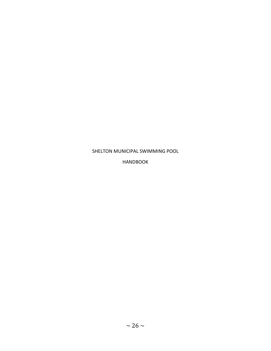#### SHELTON MUNICIPAL SWIMMING POOL

HANDBOOK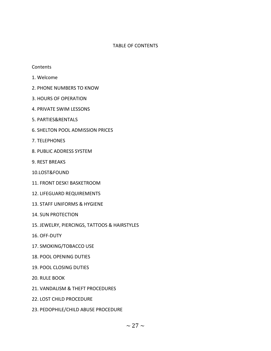#### TABLE OF CONTENTS

#### **Contents**

- 1. Welcome
- 2. PHONE NUMBERS TO KNOW
- 3. HOURS OF OPERATION
- 4. PRIVATE SWIM LESSONS
- 5. PARTIES&RENTALS
- 6. SHELTON POOL ADMISSION PRICES
- 7. TELEPHONES
- 8. PUBLIC ADDRESS SYSTEM
- 9. REST BREAKS
- 10.LOST&FOUND
- 11. FRONT DESK! BASKETROOM
- 12. LIFEGUARD REQUIREMENTS
- 13. STAFF UNIFORMS & HYGIENE
- 14. SUN PROTECTION
- 15. JEWELRY, PIERCINGS, TATTOOS & HAIRSTYLES
- 16. OFF-DUTY
- 17. SMOKING/TOBACCO USE
- 18. POOL OPENING DUTIES
- 19. POOL CLOSING DUTIES
- 20. RULE BOOK
- 21. VANDALISM & THEFT PROCEDURES
- 22. LOST CHILD PROCEDURE
- 23. PEDOPHILE/CHILD ABUSE PROCEDURE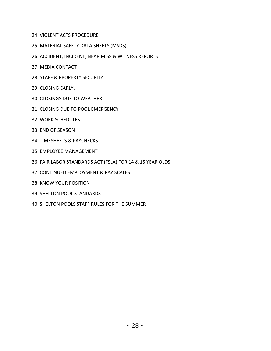- 24. VIOLENT ACTS PROCEDURE
- 25. MATERIAL SAFETY DATA SHEETS (MSDS)
- 26. ACCIDENT, INCIDENT, NEAR MISS & WITNESS REPORTS
- 27. MEDIA CONTACT
- 28. STAFF & PROPERTY SECURITY
- 29. CLOSING EARLY.
- 30. CLOSINGS DUE TO WEATHER
- 31. CLOSING DUE TO POOL EMERGENCY
- 32. WORK SCHEDULES
- 33. END OF SEASON
- 34. TIMESHEETS & PAYCHECKS
- 35. EMPLOYEE MANAGEMENT
- 36. FAIR LABOR STANDARDS ACT (FSLA) FOR 14 & 15 YEAR OLDS
- 37. CONTINUED EMPLOYMENT & PAY SCALES
- 38. KNOW YOUR POSITION
- 39. SHELTON POOL STANDARDS
- 40. SHELTON POOLS STAFF RULES FOR THE SUMMER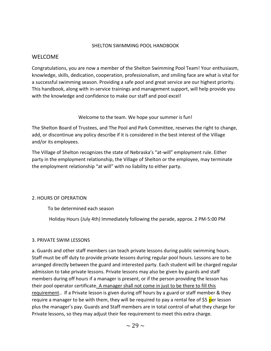#### SHELTON SWIMMING POOL HANDBOOK

#### WELCOME

Congratulations, you are now a member of the Shelton Swimming Pool Team! Your enthusiasm, knowledge, skills, dedication, cooperation, professionalism, and smiling face are what is vital for a successful swimming season. Providing a safe pool and great service are our highest priority. This handbook, along with in-service trainings and management support, will help provide you with the knowledge and confidence to make our staff and pool excel!

Welcome to the team. We hope your summer is fun!

The Shelton Board of Trustees, and The Pool and Park Committee, reserves the right to change, add, or discontinue any policy describe if it is considered in the best interest of the Village and/or its employees.

The Village of Shelton recognizes the state of Nebraska's "at-will" employment rule. Either party in the employment relationship, the Village of Shelton or the employee, may terminate the employment relationship "at will" with no liability to either party.

#### 2. HOURS OF OPERATION

To be determined each season

Holiday Hours (July 4th) Immediately following the parade, approx. 2 PM-5:00 PM

#### 3. PRIVATE SWIM LESSONS

a. Guards and other staff members can teach private lessons during public swimming hours. Staff must be off duty to provide private lessons during regular pool hours. Lessons are to be arranged directly between the guard and interested party. Each student will be charged regular admission to take private lessons. Private lessons may also be given by guards and staff members during off hours if a manager is present, or if the person providing the lesson has their pool operator certificate. A manager shall not come in just to be there to fill this requirement.. If a Private lesson is given during off hours by a guard or staff member & they require a manager to be with them, they will be required to pay a rental fee of \$5 per lesson plus the manager's pay. Guards and Staff members are in total control of what they charge for Private lessons, so they may adjust their fee requirement to meet this extra charge.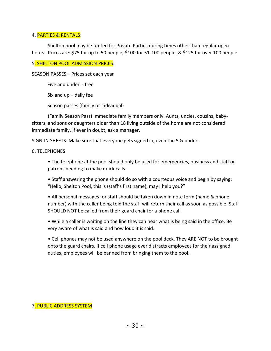#### 4. PARTIES & RENTALS:

Shelton pool may be rented for Private Parties during times other than regular open hours. Prices are: \$75 for up to 50 people, \$100 for 51-100 people, & \$125 for over 100 people.

#### 5. SHELTON POOL ADMISSION PRICES:

SEASON PASSES – Prices set each year

Five and under - free

Six and  $up$  – daily fee

Season passes (family or individual)

(Family Season Pass) Immediate family members only. Aunts, uncles, cousins, babysitters, and sons or daughters older than 18 living outside of the home are not considered immediate family. If ever in doubt, ask a manager.

SIGN-IN SHEETS: Make sure that everyone gets signed in, even the 5 & under.

#### 6. TELEPHONES

• The telephone at the pool should only be used for emergencies, business and staff or patrons needing to make quick calls.

• Staff answering the phone should do so with a courteous voice and begin by saying: "Hello, Shelton Pool, this is (staff's first name), may I help you?"

• All personal messages for staff should be taken down in note form (name & phone number) with the caller being told the staff will return their call as soon as possible. Staff SHOULD NOT be called from their guard chair for a phone call.

• While a caller is waiting on the line they can hear what is being said in the office. Be very aware of what is said and how loud it is said.

• Cell phones may not be used anywhere on the pooi deck. They ARE NOT to be brought onto the guard chairs. If cell phone usage ever distracts employees for their assigned duties, employees will be banned from bringing them to the pool.

#### 7. PUBLIC ADDRESS SYSTEM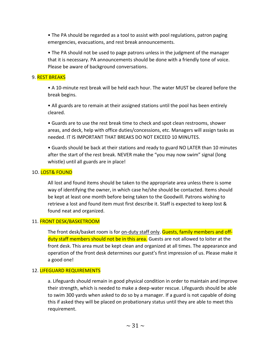• The PA should be regarded as a tool to assist with pool regulations, patron paging emergencies, evacuations, and rest break announcements.

• The PA should not be used to page patrons unless in the judgment of the manager that it is necessary. PA announcements should be done with a friendly tone of voice. Please be aware of background conversations.

#### 9. REST BREAKS

• A 10-minute rest break will be held each hour. The water MUST be cleared before the break begins.

• All guards are to remain at their assigned stations until the pool has been entirely cleared.

• Guards are to use the rest break time to check and spot clean restrooms, shower areas, and deck, help with office duties/concessions, etc. Managers will assign tasks as needed. IT IS IMPORTANT THAT BREAKS DO NOT EXCEED 10 MINUTES.

• Guards should be back at their stations and ready to guard NO LATER than 10 minutes after the start of the rest break. NEVER make the "you may now swim" signal (long whistle) until all guards are in place!

#### 1O. LOST& FOUND

All lost and found items should be taken to the appropriate area unless there is some way of identifying the owner, in which case he/she should be contacted. Items should be kept at least one month before being taken to the Goodwill. Patrons wishing to retrieve a lost and found item must first describe it. Staff is expected to keep lost & found neat and organized.

#### 11. FRONT DESK/BASKETROOM

The front desk/basket room is for on-duty staff only. Guests, family members and offduty staff members should not be in this area. Guests are not allowed to loiter at the front desk. This area must be kept clean and organized at all times. The appearance and operation of the front desk determines our guest's first impression of us. Please make it a good one!

#### 12. LIFEGUARD REQUIREMENTS

a. Lifeguards should remain in good physical condition in order to maintain and improve their strength, which is needed to make a deep-water rescue. Lifeguards should be able to swim 300 yards when asked to do so by a manager. If a guard is not capable of doing this if asked they will be placed on probationary status until they are able to meet this requirement.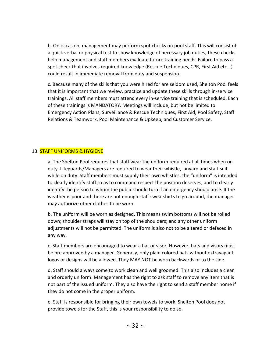b. On occasion, management may perform spot checks on pool staff. This will consist of a quick verbal or physical test to show knowledge of necessary job duties, these checks help management and staff members evaluate future training needs. Failure to pass a spot check that involves required knowledge (Rescue Techniques, CPR, First Aid etc...) could result in immediate removal from duty and suspension.

c. Because many of the skills that you were hired for are seldom used, Shelton Pool feels that it is important that we review, practice and update these skills through in-service trainings. All staff members must attend every in-service training that is scheduled. Each of these trainings is MANDATORY. Meetings will include, but not be limited to Emergency Action Plans, Surveillance & Rescue Techniques, First Aid, Pool Safety, Staff Relations & Teamwork, Pool Maintenance & Upkeep, and Customer Service.

#### 13. STAFF UNIFORMS & HYGIENE

a. The Shelton Pool requires that staff wear the uniform required at all times when on duty. Lifeguards/Managers are required to wear their whistle, lanyard and staff suit while on duty. Staff members must supply their own whistles, the "uniform" is intended to clearly identify staff so as to command respect the position deserves, and to clearly identify the person to whom the public should turn if an emergency should arise. If the weather is poor and there are not enough staff sweatshirts to go around, the manager may authorize other clothes to be worn.

b. The uniform will be worn as designed. This means swim bottoms will not be rolled down; shoulder straps will stay on top of the shoulders; and any other uniform adjustments will not be permitted. The uniform is also not to be altered or defaced in any way.

c. Staff members are encouraged to wear a hat or visor. However, hats and visors must be pre approved by a manager. Generally, only plain colored hats without extravagant logos or designs will be allowed. They MAY NOT be worn backwards or to the side.

d. Staff should always come to work clean and well groomed. This also includes a clean and orderly uniform. Management has the right to ask staff to remove any item that is not part of the issued uniform. They also have the right to send a staff member home if they do not come in the proper uniform.

e. Staff is responsible for bringing their own towels to work. Shelton Pool does not provide towels for the Staff, this is your responsibility to do so.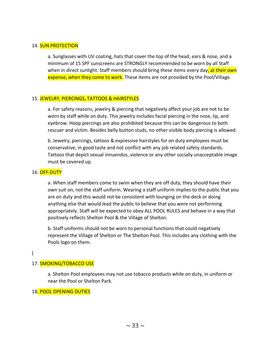#### 14. **SUN PROTECTION**

a. Sunglasses with UV coating, hats that cover the top of the head, ears & nose, and a minimum of 15 SPF sunscreens are STRONGLY recommended to be worn by all Staff when in direct sunlight. Staff members should bring these items every day, at their own expense, when they come to work. These items are not provided by the Pool/Village.

#### 15. JEWELRY, PIERCINGS, TATTOOS & HAIRSTYLES

a. For safety reasons, jewelry & piercing that negatively affect your job are not to be worn by staff while on duty. This jewelry includes facial piercing in the nose, lip, and eyebrow. Hoop piercings are also prohibited because this can be dangerous to both rescuer and victim. Besides belly button studs, no other visible body piercing is allowed.

b. Jewelry, piercings, tattoos & expressive hairstyles for on duty employees must be conservative, in good taste and not conflict with any job related safety standards. Tattoos that depict sexual innuendos, violence or any other socially unacceptable image must be covered up.

#### 16. OFF-DUTY

a. When staff members come to swim when they are off duty, they should have their own suit on, not the staff uniform. Wearing a staff uniform implies to the public that you are on duty and this would not be consistent with lounging on the deck or doing anything else that would lead the public to believe that you were not performing appropriately. Staff will be expected to obey ALL POOL RULES and behave in a way that positively reflects Shelton Pool & the Village of Shelton.

b. Staff uniforms should not be worn to personal functions that could negatively represent the Village of Shelton or The Shelton Pool. This includes any clothing with the Pools logo on them.

#### (

#### 17. SMOKING/TOBACCO USE

a. Shelton Pool employees may not use tobacco products while on duty, in uniform or near the Pool or Shelton Park.

18. POOL OPENING DUTIES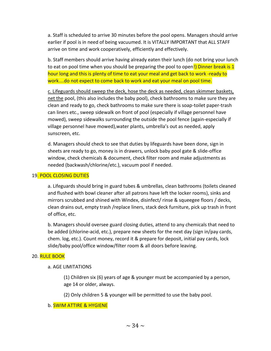a. Staff is scheduled to arrive 30 minutes before the pool opens. Managers should arrive earlier if pool is in need of being vacuumed. It is VITALLY IMPORTANT that ALL STAFF arrive on time and work cooperatively, efficiently and effectively.

b. Staff members should arrive having already eaten their lunch (do not bring your lunch to eat on pool time when you should be preparing the pool to open!) Dinner break is 1 hour long and this is plenty of time to eat your meal and get back to work -ready to work....do not expect to come back to work and eat your meal on pool time.

c. Lifeguards should sweep the deck, hose the deck as needed, clean skimmer baskets, net the pool, (this also includes the baby pool), check bathrooms to make sure they are clean and ready to go, check bathrooms to make sure there is soap-toilet paper-trash can liners etc., sweep sidewalk on front of pool (especially if village personnel have mowed), sweep sidewalks surrounding the outside the pool fence (again-especially if village personnel have mowed),water plants, umbrella's out as needed, apply sunscreen, etc.

d. Managers should check to see that duties by lifeguards have been done, sign in sheets are ready to go, money is in drawers, unlock baby pool gate & slide-office window, check chemicals & document, check filter room and make adjustments as needed (backwash/chlorine/etc.), vacuum pool if needed.

#### 19. POOL CLOSING DUTIES

a. Lifeguards should bring in guard tubes & umbrellas, clean bathrooms (toilets cleaned and flushed with bowl cleaner after all patrons have left the locker rooms), sinks and mirrors scrubbed and shined with Windex, disinfect/ rinse & squeegee floors / decks, clean drains out, empty trash /replace liners, stack deck furniture, pick up trash in front of office, etc.

b. Managers should oversee guard closing duties, attend to any chemicals that need to be added (chlorine-acid, etc.), prepare new sheets for the next day (sign in/pay cards, chem. log, etc.). Count money, record it & prepare for deposit, initial pay cards, lock slide/baby pool/office window/filter room & all doors before leaving.

#### 20. RULE BOOK

#### a. AGE LIMITATIONS

(1) Children six (6) years of age & younger must be accompanied by a person, age 14 or older, always.

(2) Only children 5 & younger will be permitted to use the baby pool.

#### b. SWIM ATTIRE & HYGIENE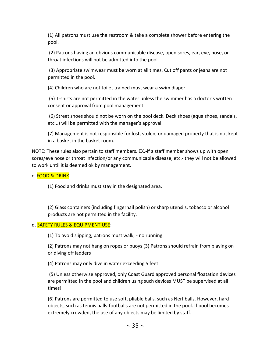(1) All patrons must use the restroom & take a complete shower before entering the pool.

(2) Patrons having an obvious communicable disease, open sores, ear, eye, nose, or throat infections will not be admitted into the pool.

(3) Appropriate swimwear must be worn at all times. Cut off pants or jeans are not permitted in the pool.

(4) Children who are not toilet trained must wear a swim diaper.

(5) T-shirts are not permitted in the water unless the swimmer has a doctor's written consent or approval from pool management.

(6) Street shoes should not be worn on the pool deck. Deck shoes (aqua shoes, sandals, etc...) will be permitted with the manager's approval.

(7) Management is not responsible for lost, stolen, or damaged property that is not kept in a basket in the basket room.

NOTE: These rules also pertain to staff members. EX.-if a staff member shows up with open sores/eye nose or throat infection/or any communicable disease, etc.- they will not be allowed to work until it is deemed ok by management.

#### c. FOOD & DRINK

(1) Food and drinks must stay in the designated area.

(2) Glass containers (including fingernail polish) or sharp utensils, tobacco or alcohol products are not permitted in the facility.

#### d. SAFETY RULES & EQUIPMENT USE:

(1) To avoid slipping, patrons must walk, - no running.

(2) Patrons may not hang on ropes or buoys (3) Patrons should refrain from playing on or diving off ladders

(4) Patrons may only dive in water exceeding 5 feet.

(5) Unless otherwise approved, only Coast Guard approved personal floatation devices are permitted in the pool and children using such devices MUST be supervised at all times!

(6) Patrons are permitted to use soft, pliable balls, such as Nerf balls. However, hard objects, such as tennis balls-footballs are not permitted in the pool. If pool becomes extremely crowded, the use of any objects may be limited by staff.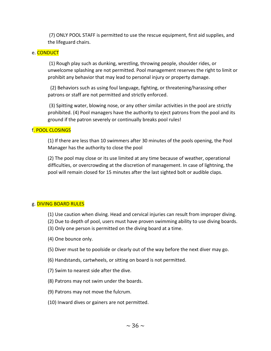(7) ONLY POOL STAFF is permitted to use the rescue equipment, first aid supplies, and the lifeguard chairs.

#### e. CONDUCT

(1) Rough play such as dunking, wrestling, throwing people, shoulder rides, or unwelcome splashing are not permitted. Pool management reserves the right to limit or prohibit any behavior that may lead to personal injury or property damage.

(2) Behaviors such as using foul language, fighting, or threatening/harassing other patrons or staff are not permitted and strictly enforced.

(3) Spitting water, blowing nose, or any other similar activities in the pool are strictly prohibited. (4) Pool managers have the authority to eject patrons from the pool and its ground if the patron severely or continually breaks pool rules!

#### f. POOL CLOSINGS

(1) If there are less than 10 swimmers after 30 minutes of the pools opening, the Pool Manager has the authority to close the pool

(2) The pool may close or its use limited at any time because of weather, operational difficulties, or overcrowding at the discretion of management. In case of lightning, the pool will remain closed for 15 minutes after the last sighted bolt or audible claps.

#### g. DIVING BOARD RULES

- (1) Use caution when diving. Head and cervical injuries can result from improper diving.
- (2) Due to depth of pool, users must have proven swimming ability to use diving boards.
- (3) Only one person is permitted on the diving board at a time.
- (4) One bounce only.
- (5) Diver must be to poolside or clearly out of the way before the next diver may go.
- (6) Handstands, cartwheels, or sitting on board is not permitted.
- (7) Swim to nearest side after the dive.
- (8) Patrons may not swim under the boards.
- (9) Patrons may not move the fulcrum.
- (10) Inward dives or gainers are not permitted.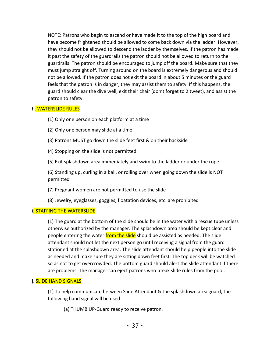NOTE: Patrons who begin to ascend or have made it to the top of the high board and have become frightened should be allowed to come back down via the ladder. However, they should not be allowed to descend the ladder by themselves. If the patron has made it past the safety of the guardrails the patron should not be allowed to return to the guardrails. The patron should be encouraged to jump off the board. Make sure that they must jump straight off. Turning around on the board is extremely dangerous and should not be allowed. If the patron does not exit the board in about 5 minutes or the guard feels that the patron is in danger, they may assist them to safety. If this happens, the guard should clear the dive well, exit their chair (don't forget to 2 tweet), and assist the patron to safety.

#### h. WATERSLIDE RULES

(1) Only one person on each platform at a time

- (2) Only one person may slide at a time.
- (3) Patrons MUST go down the slide feet first & on their backside
- (4) Stopping on the slide is not permitted

(5) Exit splashdown area immediately and swim to the ladder or under the rope

(6) Standing up, curling in a ball, or rolling over when going down the slide is NOT permitted

(7) Pregnant women are not permitted to use the slide

(8) Jewelry, eyeglasses, goggles, floatation devices, etc. are prohibited

#### i. STAFFING THE WATERSLIDE

(1) The guard at the bottom of the slide should be in the water with a rescue tube unless otherwise authorized by the manager. The splashdown area should be kept clear and people entering the water from the slide should be assisted as needed. The slide attendant should not let the next person go until receiving a signal from the guard stationed at the splashdown area. The slide attendant should help people into the slide as needed and make sure they are sitting down feet first. The top deck will be watched so as not to get overcrowded. The bottom guard should alert the slide attendant if there are problems. The manager can eject patrons who break slide rules from the pool.

#### j. SLIDE HAND SIGNALS

(1) To help communicate between Slide Attendant & the splashdown area guard, the following hand signal will be used:

(a) THUMB UP-Guard ready to receive patron.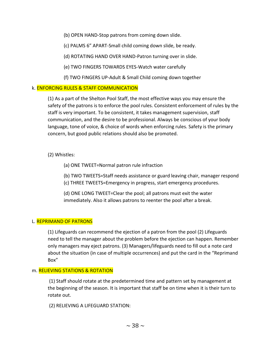(b) OPEN HAND-Stop patrons from coming down slide.

(c) PALMS 6" APART-Small child coming down slide, be ready.

(d) ROTATING HAND OVER HAND-Patron turning over in slide.

(e) TWO FINGERS TOWARDS EYES-Watch water carefully

(f) TWO FINGERS UP-Adult & Small Child coming down together

#### k. ENFORCING RULES & STAFF COMMUNICATION

(1) As a part of the Shelton Pool Staff, the most effective ways you may ensure the safety of the patrons is to enforce the pool rules. Consistent enforcement of rules by the staff is very important. To be consistent, it takes management supervision, staff communication, and the desire to be professional. Always be conscious of your body language, tone of voice, & choice of words when enforcing rules. Safety is the primary concern, but good public relations should also be promoted.

#### (2) Whistles:

(a) ONE TWEET=Normal patron rule infraction

(b) TWO TWEETS=Staff needs assistance or guard leaving chair, manager respond (c) THREE TWEETS=Emergency in progress, start emergency procedures.

(d) ONE LONG TWEET=Clear the pool; all patrons must exit the water immediately. Also it allows patrons to reenter the pool after a break.

#### L. REPRIMAND OF PATRONS

(1) Lifeguards can recommend the ejection of a patron from the pool (2) Lifeguards need to tell the manager about the problem before the ejection can happen. Remember only managers may eject patrons. (3) Managers/lifeguards need to fill out a note card about the situation (in case of multiple occurrences) and put the card in the "Reprimand Box"

#### m. RELIEVING STATIONS & ROTATION

(1) Staff should rotate at the predetermined time and pattern set by management at the beginning of the season. It is important that staff be on time when it is their turn to rotate out.

(2) RELIEVING A LIFEGUARD STATION: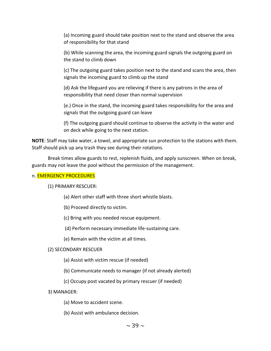(a) Incoming guard should take position next to the stand and observe the area of responsibility for that stand

(b) While scanning the area, the incoming guard signals the outgoing guard on the stand to climb down

(c) The outgoing guard takes position next to the stand and scans the area, then signals the incoming guard to climb up the stand

(d) Ask the lifeguard you are relieving if there is any patrons in the area of responsibility that need closer than normal supervision

(e.) Once in the stand, the incoming guard takes responsibility for the area and signals that the outgoing guard can leave

(f) The outgoing guard should continue to observe the activity in the water and on deck while going to the next station.

**NOTE**: Staff may take water, a towel, and appropriate sun protection to the stations with them. Staff should pick up any trash they see during their rotations.

Break times allow guards to rest, replenish fluids, and apply sunscreen. When on break, guards may not leave the pool without the permission of the management.

#### n. EMERGENCY PROCEDURES

(1) PRIMARY RESCUER:

(a) Alert other staff with three short whistle blasts.

(b) Proceed directly to victim.

(c) Bring with you needed rescue equipment.

(d) Perform necessary immediate life-sustaining care.

(e) Remain with the victim at all times.

#### (2) SECONDARY RESCUER

(a) Assist with victim rescue (if needed)

(b) Communicate needs to manager (if not already alerted)

(c) Occupy post vacated by primary rescuer (if needed)

#### 3) MANAGER:

(a) Move to accident scene.

(b) Assist with ambulance decision.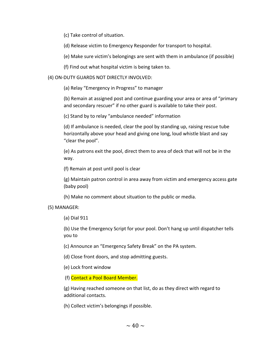(c) Take control of situation.

(d) Release victim to Emergency Responder for transport to hospital.

(e) Make sure victim's belongings are sent with them in ambulance (if possible)

(f) Find out what hospital victim is being taken to.

(4) ON-DUTY GUARDS NOT DIRECTLY INVOLVED:

(a) Relay "Emergency in Progress" to manager

(b) Remain at assigned post and continue guarding your area or area of "primary and secondary rescuer" if no other guard is available to take their post.

(c) Stand by to relay "ambulance needed" information

(d) If ambulance is needed, clear the pool by standing up, raising rescue tube horizontally above your head and giving one long, loud whistle blast and say "clear the pool".

(e) As patrons exit the pool, direct them to area of deck that will not be in the way.

(f) Remain at post until pool is clear

(g) Maintain patron control in area away from victim and emergency access gate (baby pool)

(h) Make no comment about situation to the public or media.

(5) MANAGER:

(a) Dial 911

(b) Use the Emergency Script for your pool. Don't hang up until dispatcher tells you to

(c) Announce an "Emergency Safety Break" on the PA system.

(d) Close front doors, and stop admitting guests.

(e) Lock front window

(f) Contact a Pool Board Member.

(g) Having reached someone on that list, do as they direct with regard to additional contacts.

(h) Collect victim's belongings if possible.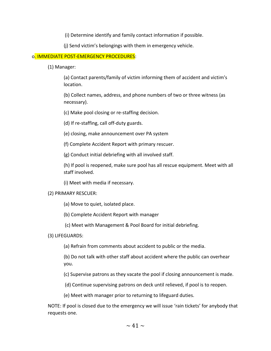(i) Determine identify and family contact information if possible.

(j) Send victim's belongings with them in emergency vehicle.

#### o. IMMEDIATE POST-EMERGENCY PROCEDURES:

(1) Manager:

(a) Contact parents/family of victim informing them of accident and victim's location.

(b) Collect names, address, and phone numbers of two or three witness (as necessary).

(c) Make pool closing or re-staffing decision.

(d) If re-staffing, call off-duty guards.

(e) closing, make announcement over PA system

(f) Complete Accident Report with primary rescuer.

(g) Conduct initial debriefing with all involved staff.

(h) If pool is reopened, make sure pool has all rescue equipment. Meet with all staff involved.

(i) Meet with media if necessary.

#### (2) PRIMARY RESCUER:

(a) Move to quiet, isolated place.

(b) Complete Accident Report with manager

(c) Meet with Management & Pool Board for initial debriefing.

#### (3) LIFEGUARDS:

(a) Refrain from comments about accident to public or the media.

(b) Do not talk with other staff about accident where the public can overhear you.

(c) Supervise patrons as they vacate the pool if closing announcement is made.

(d) Continue supervising patrons on deck until relieved, if pool is to reopen.

(e) Meet with manager prior to returning to lifeguard duties.

NOTE: If pool is closed due to the emergency we will issue 'rain tickets' for anybody that requests one.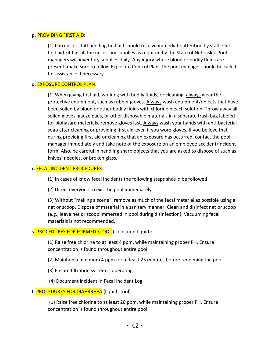#### p. PROVIDING FIRST AID:

(1) Patrons or staff needing first aid should receive immediate attention by staff. Our first aid kit has all the necessary supplies as required by the State of Nebraska. Pool managers will inventory supplies daily. Any injury where blood or bodily fluids are present, make sure to follow Exposure Control Plan. The pool manager should be called for assistance if necessary.

#### q. EXPOSURE CONTROL PLAN:

(1) When giving first aid, working with bodily fluids, or cleaning, always wear the protective equipment, such as rubber gloves. Always wash equipment/objects that have been soiled by blood or other bodily fluids with chlorine bleach solution. Throw away all soiled gloves, gauze pads, or other disposable materials in a separate trash bag labeled for biohazard materials, remove gloves last. Always wash your hands with anti-bacterial soap after cleaning or providing first aid-even if you wore gloves. If you believe that during providing first aid or cleaning that an exposure has occurred, contact the pool manager immediately and take note of the exposure on an employee accident/incident form. Also, be careful in handling sharp objects that you are asked to dispose of such as knives, needles, or broken glass.

#### r. FECAL INCIDENT PROCEDURES:

(1) In cases of know fecal incidents the following steps should be followed

(2) Direct everyone to exit the pool immediately.

(3) Without "making a scene", remove as much of the fecal material as possible using a net or scoop. Dispose of material in a sanitary manner. Clean and disinfect net or scoop (e.g., leave net or scoop immersed in pool during disinfection). Vacuuming fecal materials is not recommended.

#### s. PROCEDURES FOR FORMED STOOL (solid, non-liquid):

(1) Raise free chlorine to at least 4 ppm, while maintaining proper PH. Ensure concentration is found throughout entire pool.

- (2) Maintain a minimum 4 ppm for at least 25 minutes before reopening the pool.
- (3) Ensure filtration system is operating.
- (4) Document incident in Fecal Incident Log.
- t. PROCEDURES FOR DIAHRRHEA (liquid stool)

(1) Raise free chlorine to at least 20 ppm, while maintaining proper PH. Ensure concentration is found throughout entire pool.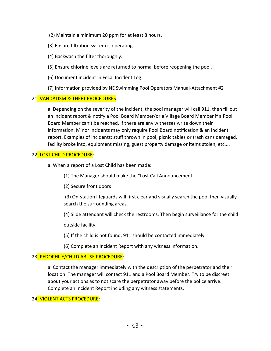- (2) Maintain a minimum 20 ppm for at least 8 hours.
- (3) Ensure filtration system is operating.
- (4) Backwash the filter thoroughly.
- (5) Ensure chlorine levels are returned to normal before reopening the pool.
- (6) Document incident in Fecal Incident Log.
- (7) Information provided by NE Swimming Pool Operators Manual-Attachment #2

#### 21. VANDALISM & THEFT PROCEDURES

a. Depending on the severity of the incident, the pooi manager will call 911, then fill out an incident report & notify a Pool Board Member/or a Village Board Member if a Pool Board Member can't be reached. If there are any witnesses write down their information. Minor incidents may only require Pool Board notification & an incident report. Examples of incidents: stuff thrown in pool, picnic tables or trash cans damaged, facility broke into, equipment missing, guest property damage or items stolen, etc....

#### 22. LOST CHILD PROCEDURE:

- a. When a report of a Lost Child has been made:
	- (1) The Manager should make the "Lost Call Announcement"
	- (2) Secure front doors

(3) On-station lifeguards will first clear and visually search the pool then visually search the surrounding areas.

(4) Slide attendant will check the restrooms. Then begin surveillance for the child

outside facility.

- (5) If the child is not found, 911 should be contacted immediately.
- (6) Complete an Incident Report with any witness information.

#### 23. PEDOPHILE/CHILD ABUSE PROCEDURE:

a. Contact the manager immediately with the description of the perpetrator and their location. The manager will contact 911 and a Pool Board Member. Try to be discreet about your actions as to not scare the perpetrator away before the police arrive. Complete an Incident Report including any witness statements.

#### 24. VIOLENT ACTS PROCEDURE: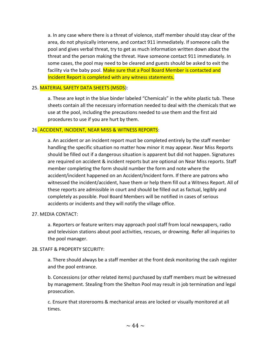a. In any case where there is a threat of violence, staff member should stay clear of the area, do not physically intervene, and contact 911 immediately. If someone calls the pool and gives verbal threat, try to get as much information written down about the threat and the person making the threat. Have someone contact 911 immediately. In some cases, the pool may need to be cleared and guests should be asked to exit the facility via the baby pool. Make sure that a Pool Board Member is contacted and Incident Report is completed with any witness statements.

#### 25. MATERIAL SAFETY DATA SHEETS (MSDS):

a. These are kept in the blue binder labeled "Chemicals" in the white plastic tub. These sheets contain all the necessary information needed to deal with the chemicals that we use at the pool, including the precautions needed to use them and the first aid procedures to use if you are hurt by them.

#### 26. ACCIDENT, INCIDENT, NEAR MISS & WITNESS REPORTS:

a. An accident or an incident report must be completed entirely by the staff member handling the specific situation no matter how minor it may appear. Near Miss Reports should be filled out if a dangerous situation is apparent but did not happen. Signatures are required on accident & incident reports but are optional on Near Miss reports. Staff member completing the form should number the form and note where the accident/incident happened on an Accident/Incident form. If there are patrons who witnessed the incident/accident, have them or help them fill out a Witness Report. All of these reports are admissible in court and should be filled out as factual, legibly and completely as possible. Pool Board Members will be notified in cases of serious accidents or incidents and they will notify the village office.

#### 27. MEDIA CONTACT:

a. Reporters or feature writers may approach pool staff from local newspapers, radio and television stations about pool activities, rescues, or drowning. Refer all inquiries to the pool manager.

#### 28. STAFF & PROPERTY SECURITY:

a. There should always be a staff member at the front desk monitoring the cash register and the pool entrance.

b. Concessions (or other related items) purchased by staff members must be witnessed by management. Stealing from the Shelton Pool may result in job termination and legal prosecution.

c. Ensure that storerooms & mechanical areas are locked or visually monitored at all times.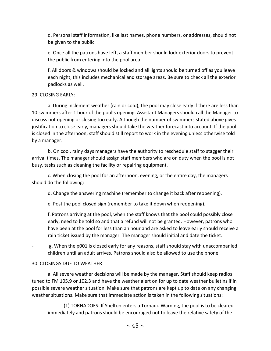d. Personal staff information, like last names, phone numbers, or addresses, should not be given to the public

e. Once all the patrons have left, a staff member should lock exterior doors to prevent the public from entering into the pool area

f. All doors & windows should be locked and all lights should be turned off as you leave each night, this includes mechanical and storage areas. Be sure to check all the exterior padlocks as well.

#### 29. CLOSING EARLY:

a. During inclement weather (rain or cold), the pool may close early if there are less than 10 swimmers after 1 hour of the pool's opening. Assistant Managers should call the Manager to discuss not opening or closing too early. Although the number of swimmers stated above gives justification to close early, managers should take the weather forecast into account. If the pool is closed in the afternoon, staff should still report to work in the evening unless otherwise told by a manager.

b. On cool, rainy days managers have the authority to reschedule staff to stagger their arrival times. The manager should assign staff members who are on duty when the pool is not busy, tasks such as cleaning the facility or repairing equipment.

c. When closing the pool for an afternoon, evening, or the entire day, the managers should do the following:

d. Change the answering machine (remember to change it back after reopening).

e. Post the pool closed sign (remember to take it down when reopening).

f. Patrons arriving at the pool, when the staff knows that the pool could possibly close early, need to be told so and that a refund will not be granted. However, patrons who have been at the pool for less than an hour and are asked to leave early should receive a rain ticket issued by the manager. The manager should initial and date the ticket.

g. When the p001 is closed early for any reasons, staff should stay with unaccompanied children until an adult arrives. Patrons should also be allowed to use the phone.

#### 30. CLOSINGS DUE TO WEATHER

a. All severe weather decisions will be made by the manager. Staff should keep radios tuned to FM 105.9 or 102.3 and have the weather alert on for up to date weather bulletins if in possible severe weather situation. Make sure that patrons are kept up to date on any changing weather situations. Make sure that immediate action is taken in the following situations:

(1) TORNADOES: If Shelton enters a Tornado Warning, the pool is to be cleared immediately and patrons should be encouraged not to leave the relative safety of the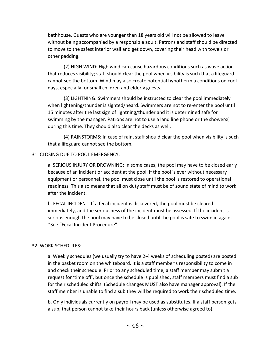bathhouse. Guests who are younger than 18 years old will not be allowed to leave without being accompanied by a responsible adult. Patrons and staff should be directed to move to the safest interior wall and get down, covering their head with towels or other padding.

(2) HIGH WIND: High wind can cause hazardous conditions such as wave action that reduces visibility; staff should clear the pool when visibility is such that a lifeguard cannot see the bottom. Wind may also create potential hypothermia conditions on cool days, especially for small children and elderly guests.

(3) LIGHTNING: Swimmers should be instructed to clear the pool immediately when lightening/thunder is sighted/heard. Swimmers are not to re-enter the pool until 15 minutes after the last sign of lightning/thunder and it is determined safe for swimming by the manager. Patrons are not to use a land line phone or the showers( during this time. They should also clear the decks as well.

(4) RAINSTORMS: In case of rain, staff should clear the pool when visibility is such that a lifeguard cannot see the bottom.

#### 31. CLOSING DUE TO POOL EMERGENCY:

a. SERIOUS INJURY OR DROWNING: In some cases, the pool may have to be closed early because of an incident or accident at the pool. If the pool is ever without necessary equipment or personnel, the pool must close until the pool is restored to operational readiness. This also means that all on duty staff must be of sound state of mind to work after the incident.

b. FECAL INCIDENT: If a fecal incident is discovered, the pool must be cleared immediately, and the seriousness of the incident must be assessed. If the incident is serious enough the pool may have to be closed until the pool is safe to swim in again. \*See "Fecal Incident Procedure".

#### 32. WORK SCHEDULES:

a. Weekly schedules (we usually try to have 2-4 weeks of scheduling posted) are posted in the basket room on the whiteboard. It is a staff member's responsibility to come in and check their schedule. Prior to any scheduled time, a staff member may submit a request for 'time off', but once the schedule is published, staff members must find a sub for their scheduled shifts. (Schedule changes MUST also have manager approval). If the staff member is unable to find a sub they will be required to work their scheduled time.

b. Only individuals currently on payroll may be used as substitutes. If a staff person gets a sub, that person cannot take their hours back (unless otherwise agreed to).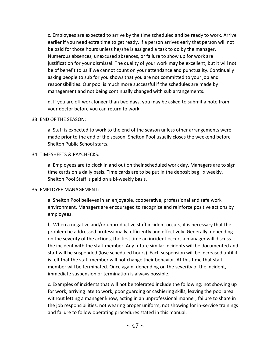c. Employees are expected to arrive by the time scheduled and be ready to work. Arrive earlier if you need extra time to get ready. If a person arrives early that person will not be paid for those hours unless he/she is assigned a task to do by the manager. Numerous absences, unexcused absences, or failure to show up for work are justification for your dismissal. The quality of your work may be excellent, but it will not be of benefit to us if we cannot count on your attendance and punctuality. Continually asking people to sub for you shows that you are not committed to your job and responsibilities. Our pool is much more successful if the schedules are made by management and not being continually changed with sub arrangements.

d. If you are off work longer than two days, you may be asked to submit a note from your doctor before you can return to work.

#### 33. END OF THE SEASON:

a. Staff is expected to work to the end of the season unless other arrangements were made prior to the end of the season. Shelton Pool usually closes the weekend before Shelton Public School starts.

#### 34. TIMESHEETS & PAYCHECKS:

a. Employees are to clock in and out on their scheduled work day. Managers are to sign time cards on a daily basis. Time cards are to be put in the deposit bag l x weekly. Shelton Pool Staff is paid on a bi-weekly basis.

#### 35. EMPLOYEE MANAGEMENT:

a. Shelton Pool believes in an enjoyable, cooperative, professional and safe work environment. Managers are encouraged to recognize and reinforce positive actions by employees.

b. When a negative and/or unproductive staff incident occurs, it is necessary that the problem be addressed professionally, efficiently and effectively. Generally, depending on the severity of the actions, the first time an incident occurs a manager will discuss the incident with the staff member. Any future similar incidents will be documented and staff will be suspended (lose scheduled hours). Each suspension will be increased until it is felt that the staff member will not change their behavior. At this time that staff member will be terminated. Once again, depending on the severity of the incident, immediate suspension or termination is always possible.

c. Examples of incidents that will not be tolerated include the following: not showing up for work, arriving late to work, poor guarding or cashiering skills, leaving the pool area without letting a manager know, acting in an unprofessional manner, failure to share in the job responsibilities, not wearing proper uniform, not showing for in-service trainings and failure to follow operating procedures stated in this manual.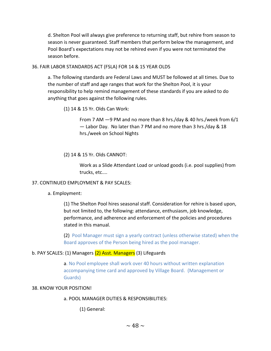d. Shelton Pool will always give preference to returning staff, but rehire from season to season is never guaranteed. Staff members that perform below the management, and Pool Board's expectations may not be rehired even if you were not terminated the season before.

#### 36. FAIR LABOR STANDARDS ACT (FSLA) FOR 14 & 15 YEAR OLDS

a. The following standards are Federal Laws and MUST be followed at all times. Due to the number of staff and age ranges that work for the Shelton Pool, it is your responsibility to help remind management of these standards if you are asked to do anything that goes against the following rules.

(1) 14 & 15 Yr. Olds Can Work:

From 7 AM —9 PM and no more than 8 hrs./day & 40 hrs./week from 6/1 — Labor Day. No later than 7 PM and no more than 3 hrs./day & 18 hrs./week on School Nights

(2) 14 & 15 Yr. Olds CANNOT:

Work as a Slide Attendant Load or unload goods (i.e. pool supplies) from trucks, etc....

#### 37. CONTINUED EMPLOYMENT & PAY SCALES:

a. Employment:

(1) The Shelton Pool hires seasonal staff. Consideration for rehire is based upon, but not limited to, the following: attendance, enthusiasm, job knowledge, performance, and adherence and enforcement of the policies and procedures stated in this manual.

(2) Pool Manager must sign a yearly contract (unless otherwise stated) when the Board approves of the Person being hired as the pool manager.

#### b. PAY SCALES: (1) Managers (2) Asst. Managers (3) Lifeguards

a. No Pool employee shall work over 40 hours without written explanation accompanying time card and approved by Village Board. (Management or Guards)

#### 38. KNOW YOUR POSITION!

a. POOL MANAGER DUTIES & RESPONSIBILITIES:

(1) General: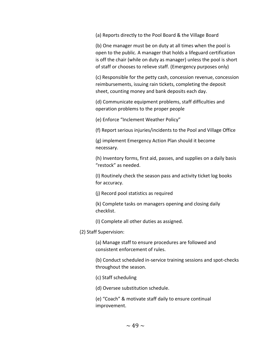(a) Reports directly to the Pool Board & the Village Board

(b) One manager must be on duty at all times when the pool is open to the public. A manager that holds a lifeguard certification is off the chair (while on duty as manager) unless the pool is short of staff or chooses to relieve staff. (Emergency purposes only)

(c) Responsible for the petty cash, concession revenue, concession reimbursements, issuing rain tickets, completing the deposit sheet, counting money and bank deposits each day.

(d) Communicate equipment problems, staff difficulties and operation problems to the proper people

(e) Enforce "Inclement Weather Policy"

(f) Report serious injuries/incidents to the Pool and Village Office

(g) implement Emergency Action Plan should it become necessary.

(h) Inventory forms, first aid, passes, and supplies on a daily basis "restock" as needed.

(I) Routinely check the season pass and activity ticket log books for accuracy.

(j) Record pool statistics as required

(k) Complete tasks on managers opening and closing daily checklist.

(I) Complete all other duties as assigned.

(2) Staff Supervision:

(a) Manage staff to ensure procedures are followed and consistent enforcement of rules.

(b) Conduct scheduled in-service training sessions and spot-checks throughout the season.

(c) Staff scheduling

(d) Oversee substitution schedule.

(e) "Coach" & motivate staff daily to ensure continual improvement.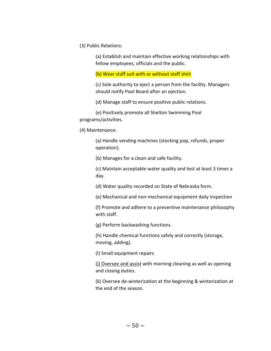(3) Public Relations:

(a) Establish and maintain effective working relationships with fellow employees, officials and the public.

(b) Wear staff suit with or without staff shirt

(c) Sole authority to eject a person from the facility. Managers should notify Pool Board after an ejection.

(d) Manage staff to ensure positive public relations.

(e) Positively promote all Shelton Swimming Pool programs/activities.

(4) Maintenance:

(a) Handle vending machines (stocking pop, refunds, proper operation).

(b) Manages for a clean and safe facility.

(c) Maintain acceptable water quality and test at least 3 times a day.

(d) Water quality recorded on State of Nebraska form.

(e) Mechanical and non-mechanical equipment daily inspection

(f) Promote and adhere to a preventive maintenance philosophy with staff.

(g) Perform backwashing functions.

(h) Handle chemical functions safely and correctly (storage, moving, adding).

(I) Small equipment repairs

(j) Oversee and assist with morning cleaning as well as opening and closing duties.

(k) Oversee de-winterization at the beginning & winterization at the end of the season.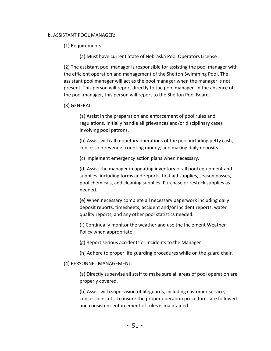#### b. ASSISTANT POOL MANAGER:

(1) Requirements:

(a) Must have current State of Nebraska Pool Operators License

(2) The assistant pool manager is responsible for assisting the pool manager with the efficient operation and management of the Shelton Swimming Pool. The assistant pool manager will act as the pool manager when the manager is not present. This person will report directly to the pool manager. In the absence of the pool manager, this person will report to the Shelton Pool Board.

(3) GENERAL:

(a) Assist in the preparation and enforcement of pool rules and regulations. Initially handle all grievances and/or disciplinary cases involving pool patrons.

(b) Assist with all monetary operations of the pool including petty cash, concession revenue, counting money, and making daily deposits.

(c) Implement emergency action plans when necessary.

(d) Assist the manager in updating inventory of all pool equipment and supplies, including forms and reports, first aid supplies, season passes, pool chemicals, and cleaning supplies. Purchase or restock supplies as needed.

(e) When necessary complete all necessary paperwork including daily deposit reports, timesheets, accident and/or incident reports, water quality reports, and any other pool statistics needed.

(f) Continually monitor the weather and use the Inclement Weather Policy when appropriate.

(g) Report serious accidents or incidents to the Manager

(h) Adhere to proper life guarding procedures while on the guard chair.

(4) PERSONNEL MANAGEMENT:

(a) Directly supervise all staff to make sure all areas of pool operation are properly covered.

(b) Assist with supervision of lifeguards, including customer service, concessions, etc. to insure the proper operation procedures are followed and consistent enforcement of rules is maintained.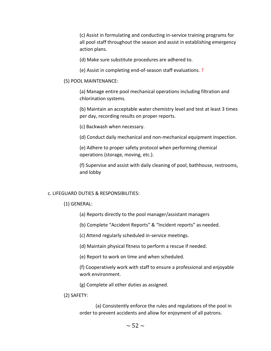(c) Assist in formulating and conducting in-service training programs for all pool staff throughout the season and assist in establishing emergency action plans.

(d) Make sure substitute procedures are adhered to.

(e) Assist in completing end-of-season staff evaluations. ?

#### (5) POOL MAINTENANCE:

(a) Manage entire pool mechanical operations including filtration and chlorination systems.

(b) Maintain an acceptable water chemistry level and test at least 3 times per day, recording results on proper reports.

(c) Backwash when necessary.

(d) Conduct daily mechanical and non-mechanical equipment inspection.

(e) Adhere to proper safety protocol when performing chemical operations (storage, moving, etc.).

(f) Supervise and assist with daily cleaning of pool, bathhouse, restrooms, and lobby

#### c. LIFEGUARD DUTIES & RESPONSIBILITIES:

#### (1) GENERAL:

- (a) Reports directly to the pool manager/assistant managers
- (b) Complete "Accident Reports" & "Incident reports" as needed.
- (c) Attend regularly scheduled in-service meetings.
- (d) Maintain physical fitness to perform a rescue if needed.
- (e) Report to work on time and when scheduled.

(f) Cooperatively work with staff to ensure a professional and enjoyable work environment.

(g) Complete all other duties as assigned.

(2) SAFETY:

(a) Consistently enforce the rules and regulations of the pool in order to prevent accidents and allow for enjoyment of all patrons.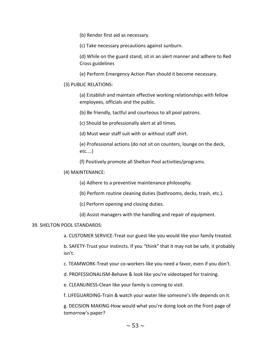(b) Render first aid as necessary.

(c) Take necessary precautions against sunburn.

(d) While on the guard stand, sit in an alert manner and adhere to Red Cross guidelines

(e) Perform Emergency Action Plan should it become necessary.

#### (3) PUBLIC RELATIONS:

(a) Establish and maintain effective working relationships with fellow employees, officials and the public.

(b) Be friendly, tactful and courteous to all pool patrons.

(c) Should be professionally alert at all times.

(d) Must wear staff suit with or without staff shirt.

(e) Professional actions (do not sit on counters, lounge on the deck, etc....)

(f) Positively promote all Shelton Pool activities/programs.

#### (4) MAINTENANCE:

(a) Adhere to a preventive maintenance philosophy.

(b) Perform routine cleaning duties (bathrooms, decks, trash, etc.).

(c) Perform opening and closing duties.

(d) Assist managers with the handling and repair of equipment.

#### 39. SHELTON POOL STANDARDS:

a. CUSTOMER SERVICE-Treat our guest like you would like your family treated.

b. SAFETY-Trust your instincts. If you "think" that it may not be safe, it probably isn't.

c. TEAMWORK-Treat your co-workers like you need a favor, even if you don't.

d. PROFESSIONALISM-Behave & look like you're videotaped for training.

e. CLEANLINESS-Clean like your family is coming to visit.

f. LIFEGUARDING-Train & watch your water like someone's life depends on it.

g. DECISION MAKING-How would what you're doing look on the front page of tomorrow's paper?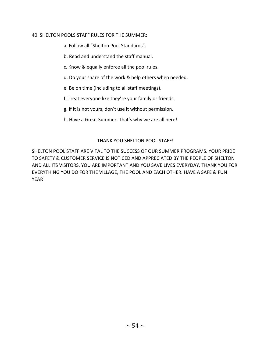#### 40. SHELTON POOLS STAFF RULES FOR THE SUMMER:

- a. Follow all "Shelton Pool Standards".
- b. Read and understand the staff manual.
- c. Know & equally enforce all the pool rules.
- d. Do your share of the work & help others when needed.
- e. Be on time (including to all staff meetings).
- f. Treat everyone like they're your family or friends.
- g. If it is not yours, don't use it without permission.
- h. Have a Great Summer. That's why we are all here!

#### THANK YOU SHELTON POOL STAFF!

SHELTON POOL STAFF ARE VITAL TO THE SUCCESS OF OUR SUMMER PROGRAMS. YOUR PRIDE TO SAFETY & CUSTOMER SERVICE IS NOTICED AND APPRECIATED BY THE PEOPLE OF SHELTON AND ALL ITS VISITORS. YOU ARE IMPORTANT AND YOU SAVE LIVES EVERYDAY. THANK YOU FOR EVERYTHING YOU DO FOR THE VILLAGE, THE POOL AND EACH OTHER. HAVE A SAFE & FUN YEAR!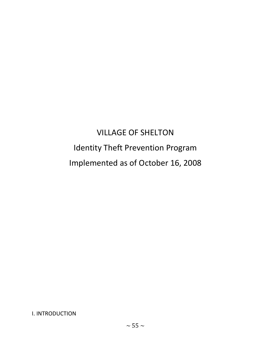# VILLAGE OF SHELTON Identity Theft Prevention Program Implemented as of October 16, 2008

I. INTRODUCTION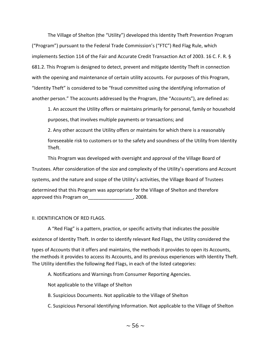The Village of Shelton (the "Utility") developed this Identity Theft Prevention Program ("Program") pursuant to the Federal Trade Commission's ("FTC") Red Flag Rule, which implements Section 114 of the Fair and Accurate Credit Transaction Act of 2003. 16 C. F. R. § 681.2. This Program is designed to detect, prevent and mitigate Identity Theft in connection with the opening and maintenance of certain utility accounts. For purposes of this Program, "Identity Theft" is considered to be "fraud committed using the identifying information of another person." The accounts addressed by the Program, (the "Accounts"), are defined as:

1. An account the Utility offers or maintains primarily for personal, family or household purposes, that involves multiple payments or transactions; and

2. Any other account the Utility offers or maintains for which there is a reasonably foreseeable risk to customers or to the safety and soundness of the Utility from Identity Theft.

This Program was developed with oversight and approval of the Village Board of Trustees. After consideration of the size and complexity of the Utility's operations and Account systems, and the nature and scope of the Utility's activities, the Village Board of Trustees determined that this Program was appropriate for the Village of Shelton and therefore approved this Program on Table 2008.

#### II. IDENTIFICATION OF RED FLAGS.

A "Red Flag" is a pattern, practice, or specific activity that indicates the possible existence of Identity Theft. In order to identify relevant Red Flags, the Utility considered the

types of Accounts that it offers and maintains, the methods it provides to open its Accounts, the methods it provides to access its Accounts, and its previous experiences with Identity Theft. The Utility identifies the following Red Flags, in each of the listed categories:

A. Notifications and Warnings from Consumer Reporting Agencies.

Not applicable to the Village of Shelton

B. Suspicious Documents. Not applicable to the Village of Shelton

C. Suspicious Personal Identifying Information. Not applicable to the Village of Shelton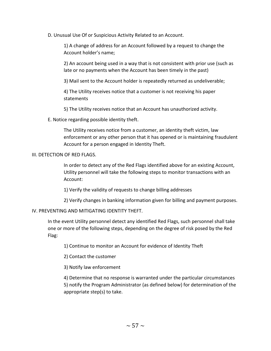D. Unusual Use Of or Suspicious Activity Related to an Account.

1) A change of address for an Account followed by a request to change the Account holder's name;

2) An account being used in a way that is not consistent with prior use (such as late or no payments when the Account has been timely in the past)

3) Mail sent to the Account holder is repeatedly returned as undeliverable;

4) The Utility receives notice that a customer is not receiving his paper statements

5) The Utility receives notice that an Account has unauthorized activity.

E. Notice regarding possible identity theft.

The Utility receives notice from a customer, an identity theft victim, law enforcement or any other person that it has opened or is maintaining fraudulent Account for a person engaged in Identity Theft.

#### III. DETECTION OF RED FLAGS.

In order to detect any of the Red Flags identified above for an existing Account, Utility personnel will take the following steps to monitor transactions with an Account:

1) Verify the validity of requests to change billing addresses

2) Verify changes in banking information given for billing and payment purposes.

#### IV. PREVENTING AND MITIGATING IDENTITY THEFT.

In the event Utility personnel detect any identified Red Flags, such personnel shall take one or more of the following steps, depending on the degree of risk posed by the Red Flag:

1) Continue to monitor an Account for evidence of Identity Theft

2) Contact the customer

3) Notify law enforcement

4) Determine that no response is warranted under the particular circumstances 5) notify the Program Administrator (as defined below) for determination of the appropriate step(s) to take.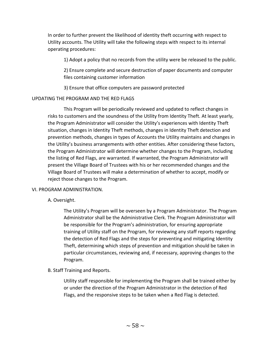In order to further prevent the likelihood of identity theft occurring with respect to Utility accounts. The Utility will take the following steps with respect to its internal operating procedures:

1) Adopt a policy that no records from the utility were be released to the public.

2) Ensure complete and secure destruction of paper documents and computer files containing customer information

3) Ensure that office computers are password protected

#### UPDATING THE PROGRAM AND THE RED FLAGS

This Program will be periodically reviewed and updated to reflect changes in risks to customers and the soundness of the Utility from Identity Theft. At least yearly, the Program Administrator will consider the Utility's experiences with Identity Theft situation, changes in Identity Theft methods, changes in Identity Theft detection and prevention methods, changes in types of Accounts the Utility maintains and changes in the Utility's business arrangements with other entities. After considering these factors, the Program Administrator will determine whether changes to the Program, including the listing of Red Flags, are warranted. If warranted, the Program Administrator will present the Village Board of Trustees with his or her recommended changes and the Village Board of Trustees will make a determination of whether to accept, modify or reject those changes to the Program.

#### VI. PROGRAM ADMINISTRATION.

A. Oversight.

The Utility's Program will be overseen by a Program Administrator. The Program Administrator shall be the Administrative Clerk. The Program Administrator will be responsible for the Program's administration, for ensuring appropriate training of Utility staff on the Program, for reviewing any staff reports regarding the detection of Red Flags and the steps for preventing and mitigating Identity Theft, determining which steps of prevention and mitigation should be taken in particular circumstances, reviewing and, if necessary, approving changes to the Program.

#### B. Staff Training and Reports.

Utility staff responsible for implementing the Program shall be trained either by or under the direction of the Program Administrator in the detection of Red Flags, and the responsive steps to be taken when a Red Flag is detected.